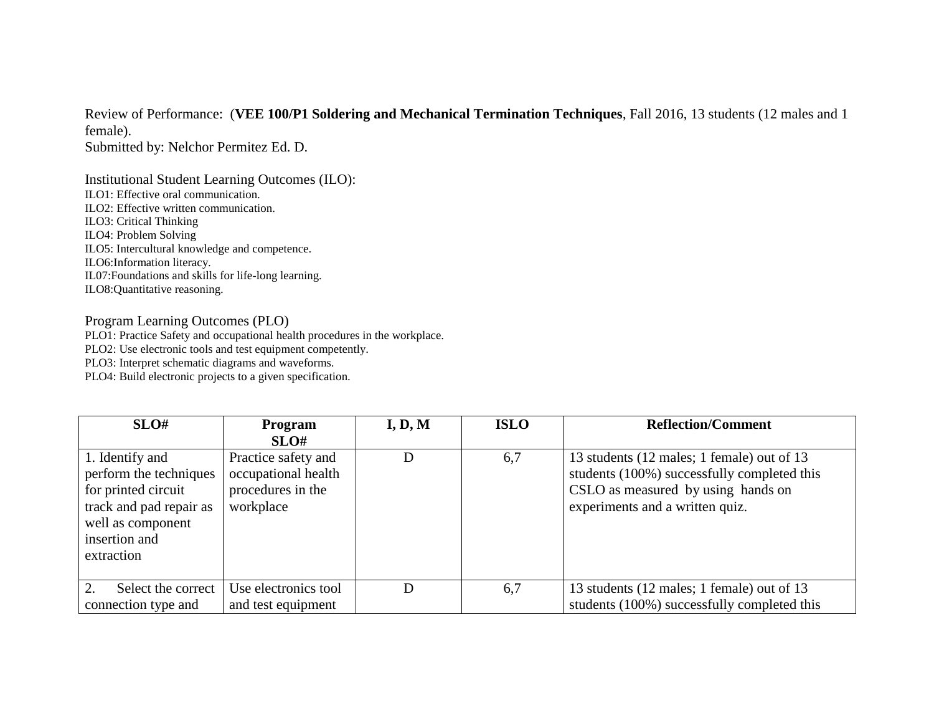Review of Performance: (**VEE 100/P1 Soldering and Mechanical Termination Techniques**, Fall 2016, 13 students (12 males and 1 female).

Submitted by: Nelchor Permitez Ed. D.

Institutional Student Learning Outcomes (ILO): ILO1: Effective oral communication. ILO2: Effective written communication. ILO3: Critical Thinking ILO4: Problem Solving ILO5: Intercultural knowledge and competence. ILO6:Information literacy. IL07:Foundations and skills for life-long learning. ILO8:Quantitative reasoning.

## Program Learning Outcomes (PLO)

PLO1: Practice Safety and occupational health procedures in the workplace.

PLO2: Use electronic tools and test equipment competently.

PLO3: Interpret schematic diagrams and waveforms.

PLO4: Build electronic projects to a given specification.

| SLO#                                                                                                                              | <b>Program</b>                                                               | I, D, M | <b>ISLO</b> | <b>Reflection/Comment</b>                                                                                                                                          |
|-----------------------------------------------------------------------------------------------------------------------------------|------------------------------------------------------------------------------|---------|-------------|--------------------------------------------------------------------------------------------------------------------------------------------------------------------|
|                                                                                                                                   | SLO#                                                                         |         |             |                                                                                                                                                                    |
| 1. Identify and<br>perform the techniques<br>for printed circuit<br>track and pad repair as<br>well as component<br>insertion and | Practice safety and<br>occupational health<br>procedures in the<br>workplace | D       | 6,7         | 13 students (12 males; 1 female) out of 13<br>students (100%) successfully completed this<br>CSLO as measured by using hands on<br>experiments and a written quiz. |
| extraction                                                                                                                        |                                                                              |         |             |                                                                                                                                                                    |
| $\mathcal{D}_{\mathcal{L}}$<br>Select the correct                                                                                 | Use electronics tool                                                         | D       | 6,7         | 13 students (12 males; 1 female) out of 13                                                                                                                         |
| connection type and                                                                                                               | and test equipment                                                           |         |             | students (100%) successfully completed this                                                                                                                        |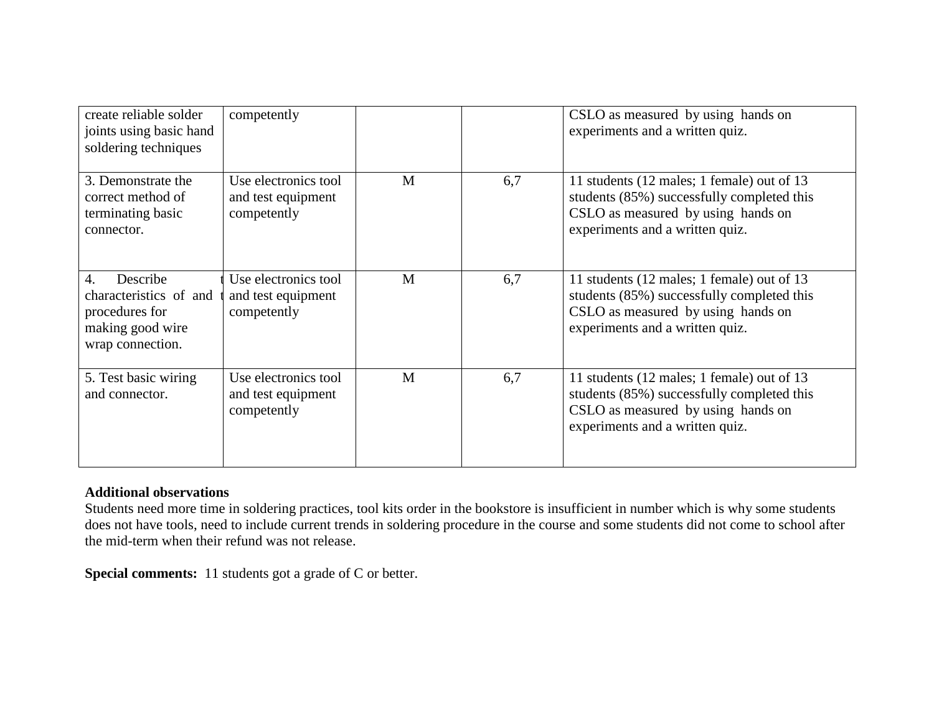| create reliable solder<br>joints using basic hand<br>soldering techniques                                        | competently                                               |   |     | CSLO as measured by using hands on<br>experiments and a written quiz.                                                                                             |
|------------------------------------------------------------------------------------------------------------------|-----------------------------------------------------------|---|-----|-------------------------------------------------------------------------------------------------------------------------------------------------------------------|
| 3. Demonstrate the<br>correct method of<br>terminating basic<br>connector.                                       | Use electronics tool<br>and test equipment<br>competently | M | 6,7 | 11 students (12 males; 1 female) out of 13<br>students (85%) successfully completed this<br>CSLO as measured by using hands on<br>experiments and a written quiz. |
| Describe<br>$\overline{4}$ .<br>characteristics of and<br>procedures for<br>making good wire<br>wrap connection. | Use electronics tool<br>and test equipment<br>competently | M | 6,7 | 11 students (12 males; 1 female) out of 13<br>students (85%) successfully completed this<br>CSLO as measured by using hands on<br>experiments and a written quiz. |
| 5. Test basic wiring<br>and connector.                                                                           | Use electronics tool<br>and test equipment<br>competently | M | 6,7 | 11 students (12 males; 1 female) out of 13<br>students (85%) successfully completed this<br>CSLO as measured by using hands on<br>experiments and a written quiz. |

## **Additional observations**

Students need more time in soldering practices, tool kits order in the bookstore is insufficient in number which is why some students does not have tools, need to include current trends in soldering procedure in the course and some students did not come to school after the mid-term when their refund was not release.

**Special comments:** 11 students got a grade of C or better.